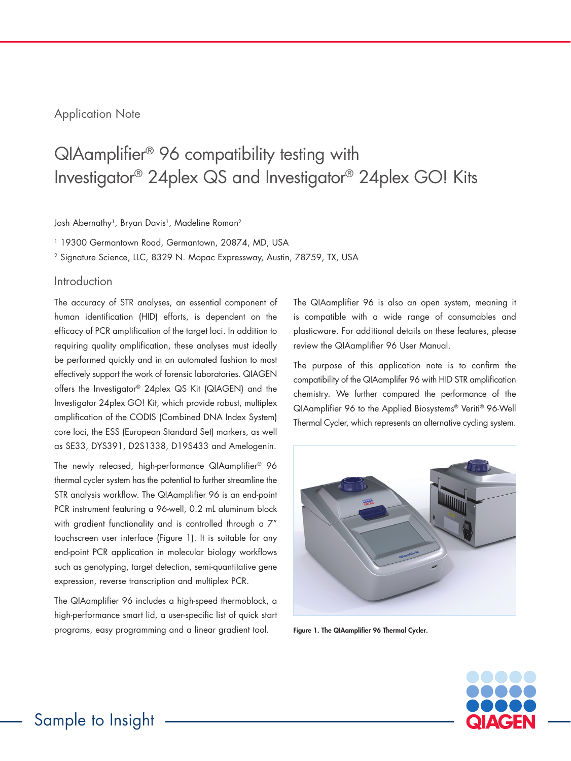# Application Note

# QIAamplifier® 96 compatibility testing with Investigator® 24plex QS and Investigator® 24plex GO! Kits

Josh Abernathy<sup>1</sup>, Bryan Davis<sup>1</sup>, Madeline Roman<sup>2</sup>

<sup>1</sup> 19300 Germantown Road, Germantown, 20874, MD, USA

<sup>2</sup> Signature Science, LLC, 8329 N. Mopac Expressway, Austin, 78759, TX, USA

## Introduction

The accuracy of STR analyses, an essential component of human identification (HID) efforts, is dependent on the efficacy of PCR amplification of the target loci. In addition to requiring quality amplification, these analyses must ideally be performed quickly and in an automated fashion to most effectively support the work of forensic laboratories. QIAGEN offers the Investigator® 24plex QS Kit (QIAGEN) and the Investigator 24plex GO! Kit, which provide robust, multiplex amplification of the CODIS (Combined DNA Index System) core loci, the ESS (European Standard Set) markers, as well as SE33, DYS391, D2S1338, D19S433 and Amelogenin.

The newly released, high-performance QIAamplifier® 96 thermal cycler system has the potential to further streamline the STR analysis workflow. The QIAamplifier 96 is an end-point PCR instrument featuring a 96-well, 0.2 mL aluminum block with gradient functionality and is controlled through a 7" touchscreen user interface (Figure 1). It is suitable for any end-point PCR application in molecular biology workflows such as genotyping, target detection, semi-quantitative gene expression, reverse transcription and multiplex PCR.

The QIAamplifier 96 includes a high-speed thermoblock, a high-performance smart lid, a user-specific list of quick start programs, easy programming and a linear gradient tool.

The QIAamplifier 96 is also an open system, meaning it is compatible with a wide range of consumables and plasticware. For additional details on these features, please review the QIAamplifier 96 User Manual.

The purpose of this application note is to confirm the compatibility of the QIAamplifer 96 with HID STR amplification chemistry. We further compared the performance of the QIAamplifier 96 to the Applied Biosystems® Veriti® 96-Well Thermal Cycler, which represents an alternative cycling system.



Figure 1. The QIAamplifier 96 Thermal Cycler.

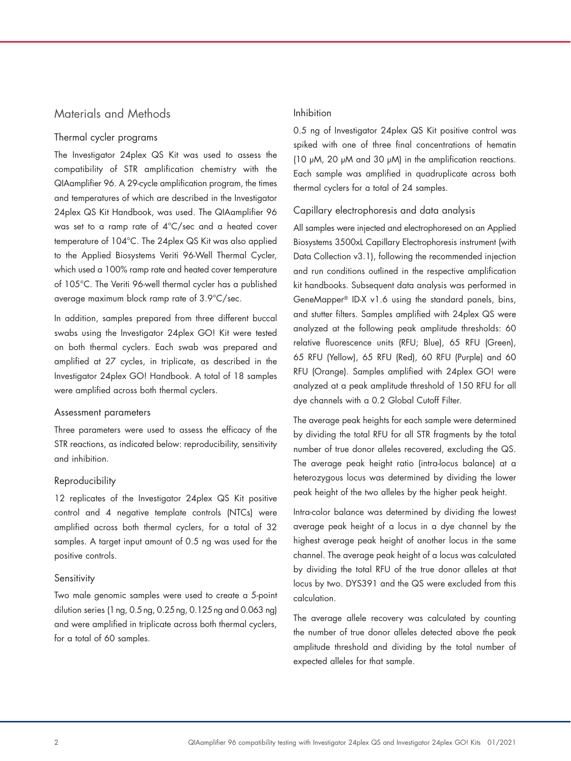# Materials and Methods

## Thermal cycler programs

The Investigator 24plex QS Kit was used to assess the compatibility of STR amplification chemistry with the QIAamplifier 96. A 29-cycle amplification program, the times and temperatures of which are described in the Investigator 24plex QS Kit Handbook, was used. The QIAamplifier 96 was set to a ramp rate of 4°C/sec and a heated cover temperature of 104°C. The 24plex QS Kit was also applied to the Applied Biosystems Veriti 96-Well Thermal Cycler, which used a 100% ramp rate and heated cover temperature of 105°C. The Veriti 96-well thermal cycler has a published average maximum block ramp rate of 3.9°C/sec.

In addition, samples prepared from three different buccal swabs using the Investigator 24plex GO! Kit were tested on both thermal cyclers. Each swab was prepared and amplified at 27 cycles, in triplicate, as described in the Investigator 24plex GO! Handbook. A total of 18 samples were amplified across both thermal cyclers.

#### Assessment parameters

Three parameters were used to assess the efficacy of the STR reactions, as indicated below: reproducibility, sensitivity and inhibition.

## Reproducibility

12 replicates of the Investigator 24plex QS Kit positive control and 4 negative template controls (NTCs) were amplified across both thermal cyclers, for a total of 32 samples. A target input amount of 0.5 ng was used for the positive controls.

#### **Sensitivity**

Two male genomic samples were used to create a 5-point dilution series (1 ng, 0.5 ng, 0.25 ng, 0.125 ng and 0.063 ng) and were amplified in triplicate across both thermal cyclers, for a total of 60 samples.

#### Inhibition

0.5 ng of Investigator 24plex QS Kit positive control was spiked with one of three final concentrations of hematin (10 µM, 20 µM and 30 µM) in the amplification reactions. Each sample was amplified in quadruplicate across both thermal cyclers for a total of 24 samples.

## Capillary electrophoresis and data analysis

All samples were injected and electrophoresed on an Applied Biosystems 3500xL Capillary Electrophoresis instrument (with Data Collection v3.1), following the recommended injection and run conditions outlined in the respective amplification kit handbooks. Subsequent data analysis was performed in GeneMapper® ID-X v1.6 using the standard panels, bins, and stutter filters. Samples amplified with 24plex QS were analyzed at the following peak amplitude thresholds: 60 relative fluorescence units (RFU; Blue), 65 RFU (Green), 65 RFU (Yellow), 65 RFU (Red), 60 RFU (Purple) and 60 RFU (Orange). Samples amplified with 24plex GO! were analyzed at a peak amplitude threshold of 150 RFU for all dye channels with a 0.2 Global Cutoff Filter.

The average peak heights for each sample were determined by dividing the total RFU for all STR fragments by the total number of true donor alleles recovered, excluding the QS. The average peak height ratio (intra-locus balance) at a heterozygous locus was determined by dividing the lower peak height of the two alleles by the higher peak height.

Intra-color balance was determined by dividing the lowest average peak height of a locus in a dye channel by the highest average peak height of another locus in the same channel. The average peak height of a locus was calculated by dividing the total RFU of the true donor alleles at that locus by two. DYS391 and the QS were excluded from this calculation.

The average allele recovery was calculated by counting the number of true donor alleles detected above the peak amplitude threshold and dividing by the total number of expected alleles for that sample.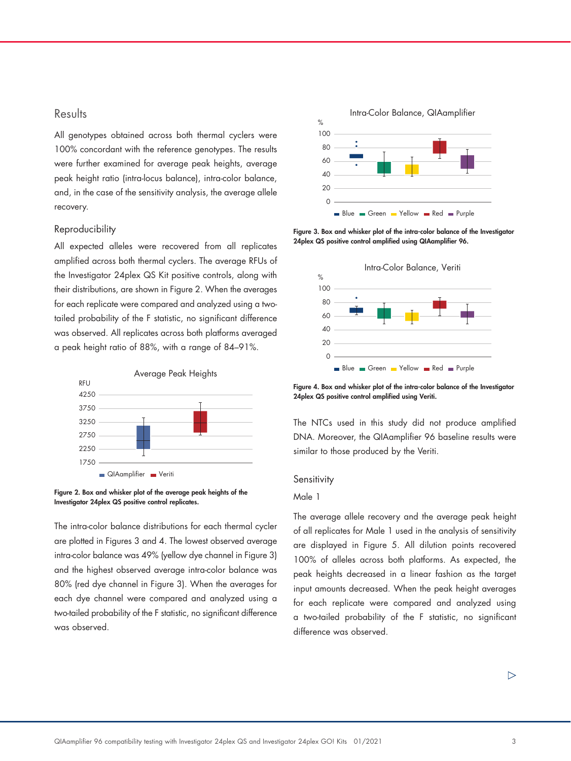# **Results**

All genotypes obtained across both thermal cyclers were 100% concordant with the reference genotypes. The results were further examined for average peak heights, average peak height ratio (intra-locus balance), intra-color balance, and, in the case of the sensitivity analysis, the average allele recovery.

## Reproducibility

All expected alleles were recovered from all replicates amplified across both thermal cyclers. The average RFUs of the Investigator 24plex QS Kit positive controls, along with their distributions, are shown in Figure 2. When the averages for each replicate were compared and analyzed using a twotailed probability of the F statistic, no significant difference was observed. All replicates across both platforms averaged a peak height ratio of 88%, with a range of 84–91%.



Figure 2. Box and whisker plot of the average peak heights of the Investigator 24plex QS positive control replicates.

The intra-color balance distributions for each thermal cycler are plotted in Figures 3 and 4. The lowest observed average intra-color balance was 49% (yellow dye channel in Figure 3) and the highest observed average intra-color balance was 80% (red dye channel in Figure 3). When the averages for each dye channel were compared and analyzed using a two-tailed probability of the F statistic, no significant difference was observed.



Figure 3. Box and whisker plot of the intra-color balance of the Investigator 24plex QS positive control amplified using QIAamplifier 96.



Figure 4. Box and whisker plot of the intra-color balance of the Investigator 24plex QS positive control amplified using Veriti.

The NTCs used in this study did not produce amplified DNA. Moreover, the QIAamplifier 96 baseline results were similar to those produced by the Veriti.

#### **Sensitivity**

## Male 1

The average allele recovery and the average peak height of all replicates for Male 1 used in the analysis of sensitivity are displayed in Figure 5. All dilution points recovered 100% of alleles across both platforms. As expected, the peak heights decreased in a linear fashion as the target input amounts decreased. When the peak height averages for each replicate were compared and analyzed using a two-tailed probability of the F statistic, no significant difference was observed.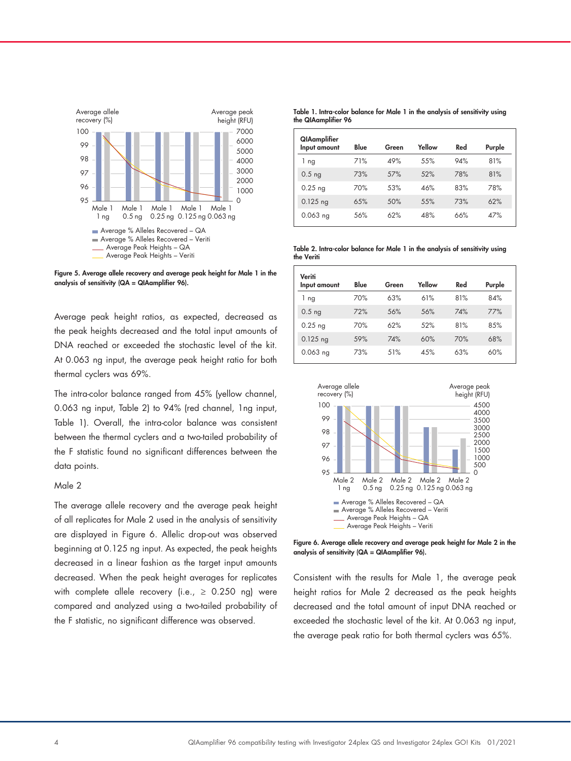

Figure 5. Average allele recovery and average peak height for Male 1 in the analysis of sensitivity (QA = QIAamplifier 96).

Average peak height ratios, as expected, decreased as the peak heights decreased and the total input amounts of DNA reached or exceeded the stochastic level of the kit. At 0.063 ng input, the average peak height ratio for both thermal cyclers was 69%.

The intra-color balance ranged from 45% (yellow channel, 0.063 ng input, Table 2) to 94% (red channel, 1ng input, Table 1). Overall, the intra-color balance was consistent between the thermal cyclers and a two-tailed probability of the F statistic found no significant differences between the data points.

### Male 2

The average allele recovery and the average peak height of all replicates for Male 2 used in the analysis of sensitivity are displayed in Figure 6. Allelic drop-out was observed beginning at 0.125 ng input. As expected, the peak heights decreased in a linear fashion as the target input amounts decreased. When the peak height averages for replicates with complete allele recovery (i.e.,  $\geq$  0.250 ng) were compared and analyzed using a two-tailed probability of the F statistic, no significant difference was observed.

Table 1. Intra-color balance for Male 1 in the analysis of sensitivity using the QIAamplifier 96

| QIAamplifier<br>Input amount | Blue | Green | Yellow | Red | Purple |
|------------------------------|------|-------|--------|-----|--------|
| ng<br>L                      | 71%  | 49%   | 55%    | 94% | 81%    |
| $0.5$ ng                     | 73%  | 57%   | .52%   | 78% | 81%    |
| $0.25$ ng                    | 70%  | 53%   | 46%    | 83% | 78%    |
| $0.125$ ng                   | 65%  | .50%  | .55%   | 73% | 62%    |
| $0.063$ ng                   | 56%  | 62%   | 48%    | 66% | 47%    |

Table 2. Intra-color balance for Male 1 in the analysis of sensitivity using the Veriti

| Veriti<br>Input amount | Blue | Green | Yellow | Red | Purple |
|------------------------|------|-------|--------|-----|--------|
| 1 ng                   | 70%  | 63%   | 61%    | 81% | 84%    |
| $0.5$ ng               | 72%  | 56%   | .56%   | 74% | 77%    |
| $0.25$ ng              | 70%  | 62%   | .52%   | 81% | 85%    |
| $0.125$ ng             | 59%  | 74%   | 60%    | 70% | 68%    |
| $0.063$ ng             | 73%  | 51%   | 4.5%   | 63% | 60%    |



Figure 6. Average allele recovery and average peak height for Male 2 in the analysis of sensitivity (QA = QIAamplifier 96).

Consistent with the results for Male 1, the average peak height ratios for Male 2 decreased as the peak heights decreased and the total amount of input DNA reached or exceeded the stochastic level of the kit. At 0.063 ng input, the average peak ratio for both thermal cyclers was 65%.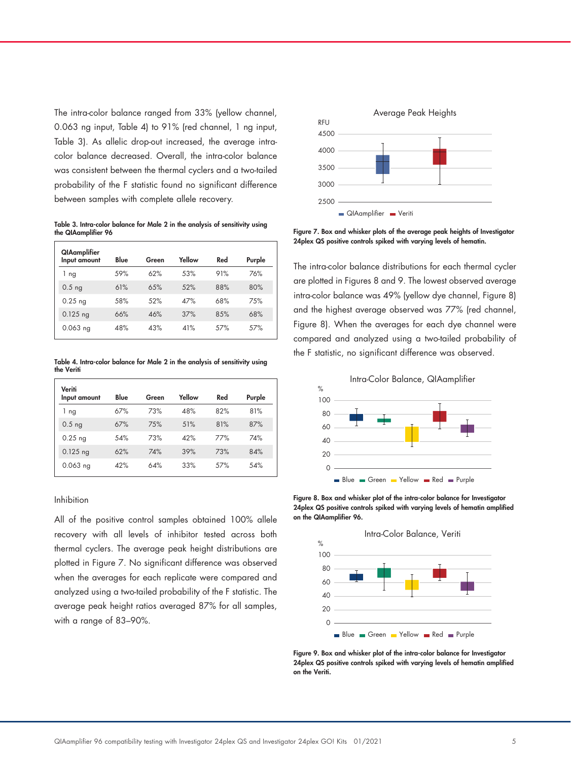The intra-color balance ranged from 33% (yellow channel, 0.063 ng input, Table 4) to 91% (red channel, 1 ng input, Table 3). As allelic drop-out increased, the average intracolor balance decreased. Overall, the intra-color balance was consistent between the thermal cyclers and a two-tailed probability of the F statistic found no significant difference between samples with complete allele recovery.

Table 3. Intra-color balance for Male 2 in the analysis of sensitivity using the QIAamplifier 96

| QIAamplifier<br>Input amount | Blue | Green | Yellow | Red  | Purple |
|------------------------------|------|-------|--------|------|--------|
| 1<br>ng                      | 59%  | 62%   | .53%   | 91%  | 76%    |
| $0.5$ ng                     | 61%  | 6.5%  | .52%   | 88%  | 80%    |
| $0.25$ ng                    | 58%  | .52%  | 47%    | 68%  | 75%    |
| $0.125$ ng                   | 66%  | 46%   | 37%    | 85%  | 68%    |
| $0.063$ ng                   | 48%  | 43%   | 41%    | .57% | .57%   |

Table 4. Intra-color balance for Male 2 in the analysis of sensitivity using the Veriti

| Veriti<br>Input amount | Blue | Green | Yellow | Red  | Purple |
|------------------------|------|-------|--------|------|--------|
| 1 ng                   | 67%  | 73%   | 48%    | 82%  | 81%    |
| $0.5$ ng               | 67%  | 75%   | 51%    | 81%  | 87%    |
| $0.25$ ng              | 54%  | 73%   | 42%    | 77%  | 74%    |
| $0.125$ ng             | 62%  | 74%   | 39%    | 73%  | 84%    |
| $0.063$ ng             | 42%  | 64%   | 33%    | .57% | 54%    |

#### Inhibition

All of the positive control samples obtained 100% allele recovery with all levels of inhibitor tested across both thermal cyclers. The average peak height distributions are plotted in Figure 7. No significant difference was observed when the averages for each replicate were compared and analyzed using a two-tailed probability of the F statistic. The average peak height ratios averaged 87% for all samples, with a range of 83–90%.



Figure 7. Box and whisker plots of the average peak heights of Investigator 24plex QS positive controls spiked with varying levels of hematin.

The intra-color balance distributions for each thermal cycler are plotted in Figures 8 and 9. The lowest observed average intra-color balance was 49% (yellow dye channel, Figure 8) and the highest average observed was 77% (red channel, Figure 8). When the averages for each dye channel were compared and analyzed using a two-tailed probability of the F statistic, no significant difference was observed.



Figure 8. Box and whisker plot of the intra-color balance for Investigator 24plex QS positive controls spiked with varying levels of hematin amplified on the QIAamplifier 96.



Figure 9. Box and whisker plot of the intra-color balance for Investigator 24plex QS positive controls spiked with varying levels of hematin amplified on the Veriti.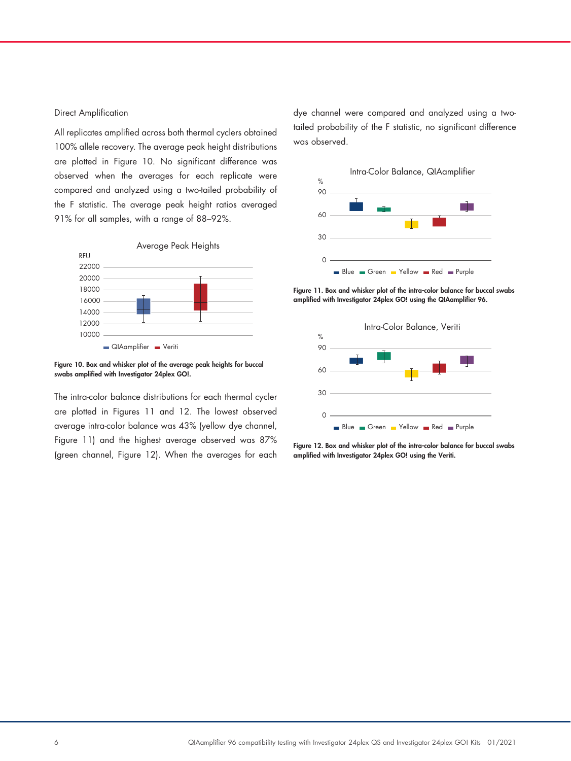#### Direct Amplification

All replicates amplified across both thermal cyclers obtained 100% allele recovery. The average peak height distributions are plotted in Figure 10. No significant difference was observed when the averages for each replicate were compared and analyzed using a two-tailed probability of the F statistic. The average peak height ratios averaged 91% for all samples, with a range of 88–92%.



Figure 10. Box and whisker plot of the average peak heights for buccal swabs amplified with Investigator 24plex GO!.

The intra-color balance distributions for each thermal cycler are plotted in Figures 11 and 12. The lowest observed average intra-color balance was 43% (yellow dye channel, Figure 11) and the highest average observed was 87% (green channel, Figure 12). When the averages for each dye channel were compared and analyzed using a twotailed probability of the F statistic, no significant difference was observed.



Figure 11. Box and whisker plot of the intra-color balance for buccal swabs amplified with Investigator 24plex GO! using the QIAamplifier 96.



Figure 12. Box and whisker plot of the intra-color balance for buccal swabs amplified with Investigator 24plex GO! using the Veriti.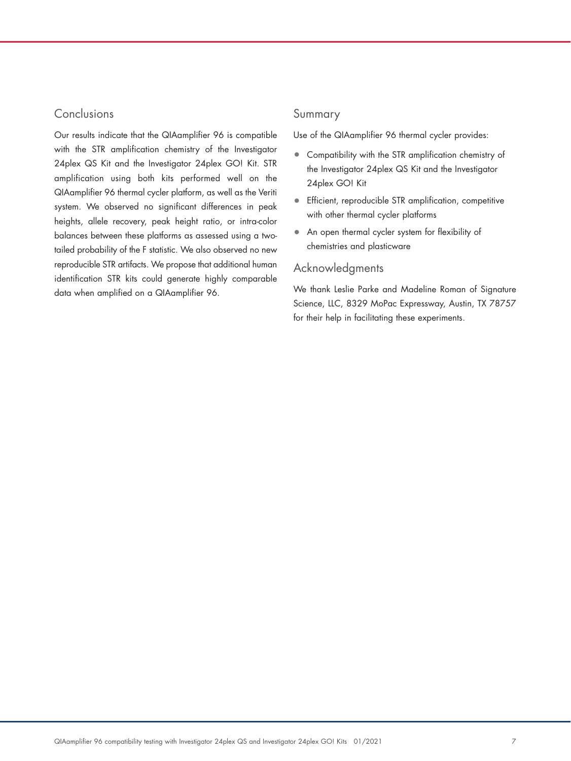# Conclusions

Our results indicate that the QIAamplifier 96 is compatible with the STR amplification chemistry of the Investigator 24plex QS Kit and the Investigator 24plex GO! Kit. STR amplification using both kits performed well on the QIAamplifier 96 thermal cycler platform, as well as the Veriti system. We observed no significant differences in peak heights, allele recovery, peak height ratio, or intra-color balances between these platforms as assessed using a twotailed probability of the F statistic. We also observed no new reproducible STR artifacts. We propose that additional human identification STR kits could generate highly comparable data when amplified on a QIAamplifier 96.

## Summary

Use of the QIAamplifier 96 thermal cycler provides:

- Compatibility with the STR amplification chemistry of the Investigator 24plex QS Kit and the Investigator 24plex GO! Kit
- Efficient, reproducible STR amplification, competitive with other thermal cycler platforms
- An open thermal cycler system for flexibility of chemistries and plasticware

## Acknowledgments

We thank Leslie Parke and Madeline Roman of Signature Science, LLC, 8329 MoPac Expressway, Austin, TX 78757 for their help in facilitating these experiments.